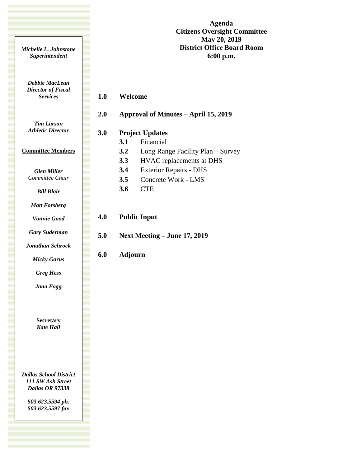**Agenda Citizens Oversight Committee May 20, 2019 District Office Board Room 6:00 p.m.**

*Debbie MacLean Director of Fiscal Services*

*Michelle L. Johnstone Superintendent*

# **1.0 Welcome**

*Tim Larson Athletic Director*

### **Committee Members**

*Glen Miller Committee Chair*

### *Bill Blair*

*Matt Forsberg*

*Vonnie Good*

*Gary Suderman*

*Jonathan Schrock*

*Micky Garus*

*Greg Hess*

*Jana Fogg*

**Secretary** *Kate Hall*

*Dallas School District 111 SW Ash Street Dallas OR 97338*

> *503.623.5594 ph. 503.623.5597 fax*

| 2.0 |                | Approval of Minutes - April 15, 2019 |
|-----|----------------|--------------------------------------|
| 3.0 |                | <b>Project Updates</b>               |
|     | 3.1            | Financial                            |
|     | 3.2            | Long Range Facility Plan - Survey    |
|     | 3.3            | HVAC replacements at DHS             |
|     | 3.4            | <b>Exterior Repairs - DHS</b>        |
|     | 3.5            | Concrete Work - LMS                  |
|     | 3.6            | <b>CTE</b>                           |
| 4.0 |                | <b>Public Input</b>                  |
| 5.0 |                | Next Meeting - June 17, 2019         |
| 6.0 | <b>Adjourn</b> |                                      |
|     |                |                                      |
|     |                |                                      |
|     |                |                                      |
|     |                |                                      |
|     |                |                                      |
|     |                |                                      |
|     |                |                                      |
|     |                |                                      |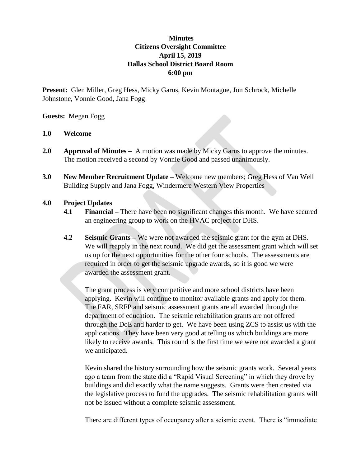## **Minutes Citizens Oversight Committee April 15, 2019 Dallas School District Board Room 6:00 pm**

**Present:** Glen Miller, Greg Hess, Micky Garus, Kevin Montague, Jon Schrock, Michelle Johnstone, Vonnie Good, Jana Fogg

## **Guests:** Megan Fogg

## **1.0 Welcome**

- **2.0 Approval of Minutes** A motion was made by Micky Garus to approve the minutes. The motion received a second by Vonnie Good and passed unanimously.
- **3.0 New Member Recruitment Update –** Welcome new members; Greg Hess of Van Well Building Supply and Jana Fogg, Windermere Western View Properties

## **4.0 Project Updates**

- **4.1 Financial –** There have been no significant changes this month. We have secured an engineering group to work on the HVAC project for DHS.
- **4.2 Seismic Grants –** We were not awarded the seismic grant for the gym at DHS. We will reapply in the next round. We did get the assessment grant which will set us up for the next opportunities for the other four schools. The assessments are required in order to get the seismic upgrade awards, so it is good we were awarded the assessment grant.

The grant process is very competitive and more school districts have been applying. Kevin will continue to monitor available grants and apply for them. The FAR, SRFP and seismic assessment grants are all awarded through the department of education. The seismic rehabilitation grants are not offered through the DoE and harder to get. We have been using ZCS to assist us with the applications. They have been very good at telling us which buildings are more likely to receive awards. This round is the first time we were not awarded a grant we anticipated.

Kevin shared the history surrounding how the seismic grants work. Several years ago a team from the state did a "Rapid Visual Screening" in which they drove by buildings and did exactly what the name suggests. Grants were then created via the legislative process to fund the upgrades. The seismic rehabilitation grants will not be issued without a complete seismic assessment.

There are different types of occupancy after a seismic event. There is "immediate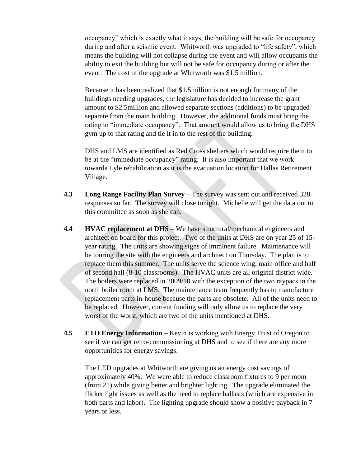occupancy" which is exactly what it says; the building will be safe for occupancy during and after a seismic event. Whitworth was upgraded to "life safety", which means the building will not collapse during the event and will allow occupants the ability to exit the building but will not be safe for occupancy during or after the event. The cost of the upgrade at Whitworth was \$1.5 million.

Because it has been realized that \$1.5million is not enough for many of the buildings needing upgrades, the legislature has decided to increase the grant amount to \$2.5million and allowed separate sections (additions) to be upgraded separate from the main building. However, the additional funds must bring the rating to "immediate occupancy". That amount would allow us to bring the DHS gym up to that rating and tie it in to the rest of the building.

DHS and LMS are identified as Red Cross shelters which would require them to be at the "immediate occupancy" rating. It is also important that we work towards Lyle rehabilitation as it is the evacuation location for Dallas Retirement Village.

- **4.3 Long Range Facility Plan Survey** The survey was sent out and received 328 responses so far. The survey will close tonight. Michelle will get the data out to this committee as soon as she can.
- **4.4 HVAC replacement at DHS –** We have structural/mechanical engineers and architect on board for this project. Two of the units at DHS are on year 25 of 15 year rating. The units are showing signs of imminent failure. Maintenance will be touring the site with the engineers and architect on Thursday. The plan is to replace them this summer. The units serve the science wing, main office and half of second hall (8-10 classrooms). The HVAC units are all original district wide. The boilers were replaced in 2009/10 with the exception of the two raypacs in the north boiler room at LMS. The maintenance team frequently has to manufacture replacement parts in-house because the parts are obsolete. All of the units need to be replaced. However, current funding will only allow us to replace the very worst of the worst, which are two of the units mentioned at DHS.
- **4.5 ETO Energy Information –** Kevin is working with Energy Trust of Oregon to see if we can get retro-commissioning at DHS and to see if there are any more opportunities for energy savings.

The LED upgrades at Whitworth are giving us an energy cost savings of approximately 40%. We were able to reduce classroom fixtures to 9 per room (from 21) while giving better and brighter lighting. The upgrade eliminated the flicker light issues as well as the need to replace ballasts (which are expensive in both parts and labor). The lighting upgrade should show a positive payback in 7 years or less.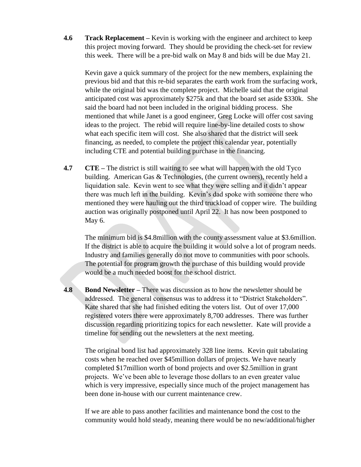**4.6 Track Replacement –** Kevin is working with the engineer and architect to keep this project moving forward. They should be providing the check-set for review this week. There will be a pre-bid walk on May 8 and bids will be due May 21.

Kevin gave a quick summary of the project for the new members, explaining the previous bid and that this re-bid separates the earth work from the surfacing work, while the original bid was the complete project. Michelle said that the original anticipated cost was approximately \$275k and that the board set aside \$330k. She said the board had not been included in the original bidding process. She mentioned that while Janet is a good engineer, Greg Locke will offer cost saving ideas to the project. The rebid will require line-by-line detailed costs to show what each specific item will cost. She also shared that the district will seek financing, as needed, to complete the project this calendar year, potentially including CTE and potential building purchase in the financing.

**4.7 CTE** – The district is still waiting to see what will happen with the old Tyco building. American Gas & Technologies, (the current owners), recently held a liquidation sale. Kevin went to see what they were selling and it didn't appear there was much left in the building. Kevin's dad spoke with someone there who mentioned they were hauling out the third truckload of copper wire. The building auction was originally postponed until April 22. It has now been postponed to May 6.

The minimum bid is \$4.8million with the county assessment value at \$3.6million. If the district is able to acquire the building it would solve a lot of program needs. Industry and families generally do not move to communities with poor schools. The potential for program growth the purchase of this building would provide would be a much needed boost for the school district.

**4.8 Bond Newsletter –** There was discussion as to how the newsletter should be addressed. The general consensus was to address it to "District Stakeholders". Kate shared that she had finished editing the voters list. Out of over 17,000 registered voters there were approximately 8,700 addresses. There was further discussion regarding prioritizing topics for each newsletter. Kate will provide a timeline for sending out the newsletters at the next meeting.

The original bond list had approximately 328 line items. Kevin quit tabulating costs when he reached over \$45million dollars of projects. We have nearly completed \$17million worth of bond projects and over \$2.5million in grant projects. We've been able to leverage those dollars to an even greater value which is very impressive, especially since much of the project management has been done in-house with our current maintenance crew.

If we are able to pass another facilities and maintenance bond the cost to the community would hold steady, meaning there would be no new/additional/higher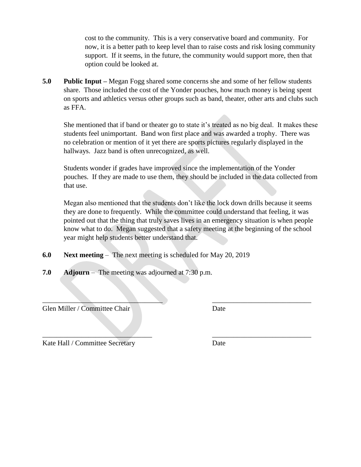cost to the community. This is a very conservative board and community. For now, it is a better path to keep level than to raise costs and risk losing community support. If it seems, in the future, the community would support more, then that option could be looked at.

**5.0 Public Input –** Megan Fogg shared some concerns she and some of her fellow students share. Those included the cost of the Yonder pouches, how much money is being spent on sports and athletics versus other groups such as band, theater, other arts and clubs such as FFA.

She mentioned that if band or theater go to state it's treated as no big deal. It makes these students feel unimportant. Band won first place and was awarded a trophy. There was no celebration or mention of it yet there are sports pictures regularly displayed in the hallways. Jazz band is often unrecognized, as well.

Students wonder if grades have improved since the implementation of the Yonder pouches. If they are made to use them, they should be included in the data collected from that use.

Megan also mentioned that the students don't like the lock down drills because it seems they are done to frequently. While the committee could understand that feeling, it was pointed out that the thing that truly saves lives in an emergency situation is when people know what to do. Megan suggested that a safety meeting at the beginning of the school year might help students better understand that.

 $\blacksquare$  , and the contribution of the contribution of the contribution of the contribution of the contribution of the contribution of the contribution of the contribution of the contribution of the contribution of the cont

 $\overline{\phantom{a}}$  , and the contribution of the contribution of the contribution of the contribution of the contribution of the contribution of the contribution of the contribution of the contribution of the contribution of the

- **6.0 Next meeting** The next meeting is scheduled for May 20, 2019
- **7.0 Adjourn**  The meeting was adjourned at 7:30 p.m.

Glen Miller / Committee Chair Date

Kate Hall / Committee Secretary Date